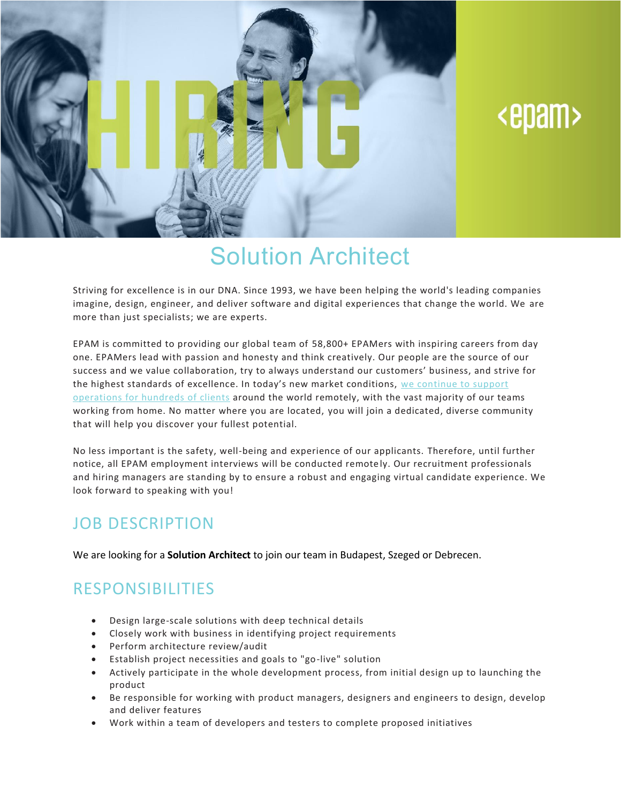

# <epam>

## Solution Architect

Striving for excellence is in our DNA. Since 1993, we have been helping the world's leading companies imagine, design, engineer, and deliver software and digital experiences that change the world. We are more than just specialists; we are experts.

EPAM is committed to providing our global team of 58,800+ EPAMers with inspiring careers from day one. EPAMers lead with passion and honesty and think creatively. Our people are the source of our success and we value collaboration, try to always understand our customers' business, and strive for the highest standards of excellence. In today's new market conditions, we [continue](https://www.epam.com/ceo-update-covid-19) to support [operations](https://www.epam.com/ceo-update-covid-19) for hundreds of clients around the world remotely, with the vast majority of our teams working from home. No matter where you are located, you will join a dedicated, diverse community that will help you discover your fullest potential.

No less important is the safety, well-being and experience of our applicants. Therefore, until further notice, all EPAM employment interviews will be conducted remote ly. Our recruitment professionals and hiring managers are standing by to ensure a robust and engaging virtual candidate experience. We look forward to speaking with you!

### JOB DESCRIPTION

We are looking for a **Solution Architect** to join our team in Budapest, Szeged or Debrecen.

### RESPONSIBILITIES

- Design large-scale solutions with deep technical details
- Closely work with business in identifying project requirements
- Perform architecture review/audit
- Establish project necessities and goals to "go-live" solution
- Actively participate in the whole development process, from initial design up to launching the product
- Be responsible for working with product managers, designers and engineers to design, develop and deliver features
- Work within a team of developers and testers to complete proposed initiatives